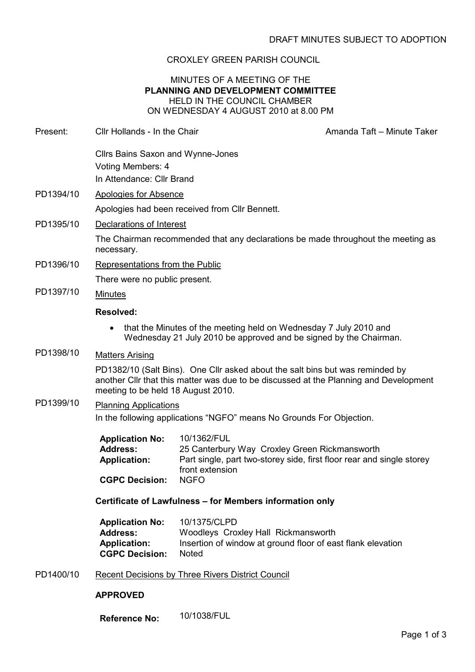## CROXLEY GREEN PARISH COUNCIL

### MINUTES OF A MEETING OF THE PLANNING AND DEVELOPMENT COMMITTEE HELD IN THE COUNCIL CHAMBER ON WEDNESDAY 4 AUGUST 2010 at 8.00 PM

Present: Cllr Hollands - In the Chair Amanda Taft – Minute Taker Cllrs Bains Saxon and Wynne-Jones Voting Members: 4 In Attendance: Cllr Brand PD1394/10 Apologies for Absence Apologies had been received from Cllr Bennett. PD1395/10 Declarations of Interest The Chairman recommended that any declarations be made throughout the meeting as necessary. PD1396/10 Representations from the Public There were no public present. PD1397/10 Minutes Resolved: • that the Minutes of the meeting held on Wednesday 7 July 2010 and Wednesday 21 July 2010 be approved and be signed by the Chairman. PD1398/10 Matters Arising PD1382/10 (Salt Bins). One Cllr asked about the salt bins but was reminded by another Cllr that this matter was due to be discussed at the Planning and Development meeting to be held 18 August 2010. PD1399/10 Planning Applications In the following applications "NGFO" means No Grounds For Objection. Application No: 10/1362/FUL Address: 25 Canterbury Way Croxley Green Rickmansworth Application: Part single, part two-storey side, first floor rear and single storey front extension CGPC Decision: NGFO Certificate of Lawfulness – for Members information only Application No: 10/1375/CLPD

| 10/1375/CLPD                                                |
|-------------------------------------------------------------|
| Woodleys Croxley Hall Rickmansworth                         |
| Insertion of window at ground floor of east flank elevation |
| <b>Noted</b>                                                |
|                                                             |

PD1400/10 Recent Decisions by Three Rivers District Council

#### APPROVED

Reference No: 10/1038/FUL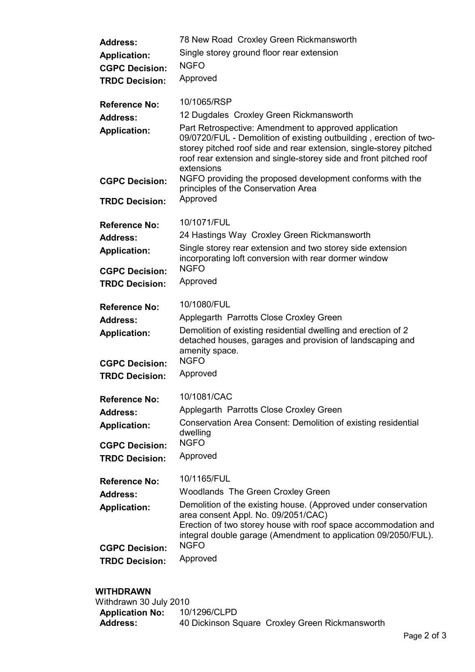| <b>Address:</b>                                | 78 New Road Croxley Green Rickmansworth                                                                                                                                                                                                                                              |
|------------------------------------------------|--------------------------------------------------------------------------------------------------------------------------------------------------------------------------------------------------------------------------------------------------------------------------------------|
| <b>Application:</b>                            | Single storey ground floor rear extension                                                                                                                                                                                                                                            |
| <b>CGPC Decision:</b>                          | <b>NGFO</b>                                                                                                                                                                                                                                                                          |
| <b>TRDC Decision:</b>                          | Approved                                                                                                                                                                                                                                                                             |
| <b>Reference No:</b>                           | 10/1065/RSP                                                                                                                                                                                                                                                                          |
| <b>Address:</b>                                | 12 Dugdales Croxley Green Rickmansworth                                                                                                                                                                                                                                              |
| <b>Application:</b>                            | Part Retrospective: Amendment to approved application<br>09/0720/FUL - Demolition of existing outbuilding, erection of two-<br>storey pitched roof side and rear extension, single-storey pitched<br>roof rear extension and single-storey side and front pitched roof<br>extensions |
| <b>CGPC Decision:</b>                          | NGFO providing the proposed development conforms with the<br>principles of the Conservation Area                                                                                                                                                                                     |
| <b>TRDC Decision:</b>                          | Approved                                                                                                                                                                                                                                                                             |
| <b>Reference No:</b>                           | 10/1071/FUL                                                                                                                                                                                                                                                                          |
| Address:                                       | 24 Hastings Way Croxley Green Rickmansworth                                                                                                                                                                                                                                          |
| <b>Application:</b>                            | Single storey rear extension and two storey side extension<br>incorporating loft conversion with rear dormer window                                                                                                                                                                  |
| <b>CGPC Decision:</b><br><b>TRDC Decision:</b> | <b>NGFO</b><br>Approved                                                                                                                                                                                                                                                              |
|                                                |                                                                                                                                                                                                                                                                                      |
| <b>Reference No:</b>                           | 10/1080/FUL                                                                                                                                                                                                                                                                          |
| <b>Address:</b>                                | Applegarth Parrotts Close Croxley Green                                                                                                                                                                                                                                              |
| <b>Application:</b>                            | Demolition of existing residential dwelling and erection of 2<br>detached houses, garages and provision of landscaping and<br>amenity space.                                                                                                                                         |
| <b>CGPC Decision:</b>                          | <b>NGFO</b>                                                                                                                                                                                                                                                                          |
| <b>TRDC Decision:</b>                          | Approved                                                                                                                                                                                                                                                                             |
| <b>Reference No:</b>                           | 10/1081/CAC                                                                                                                                                                                                                                                                          |
| <b>Address:</b>                                | Applegarth Parrotts Close Croxley Green                                                                                                                                                                                                                                              |
| <b>Application:</b>                            | Conservation Area Consent: Demolition of existing residential<br>dwelling                                                                                                                                                                                                            |
| <b>CGPC Decision:</b><br><b>TRDC Decision:</b> | <b>NGFO</b><br>Approved                                                                                                                                                                                                                                                              |
|                                                | 10/1165/FUL                                                                                                                                                                                                                                                                          |
| <b>Reference No:</b><br><b>Address:</b>        | Woodlands The Green Croxley Green                                                                                                                                                                                                                                                    |
| <b>Application:</b>                            | Demolition of the existing house. (Approved under conservation                                                                                                                                                                                                                       |
|                                                | area consent Appl. No. 09/2051/CAC)<br>Erection of two storey house with roof space accommodation and                                                                                                                                                                                |
| <b>CGPC Decision:</b>                          | integral double garage (Amendment to application 09/2050/FUL).<br><b>NGFO</b>                                                                                                                                                                                                        |
| <b>TRDC Decision:</b>                          | Approved                                                                                                                                                                                                                                                                             |

# **WITHDRAWN**<br>Withdrawn 30

| Withdrawn 30 July 2010 |                                                 |
|------------------------|-------------------------------------------------|
| <b>Application No:</b> | 10/1296/CLPD                                    |
| <b>Address:</b>        | 40 Dickinson Square Croxley Green Rickmansworth |